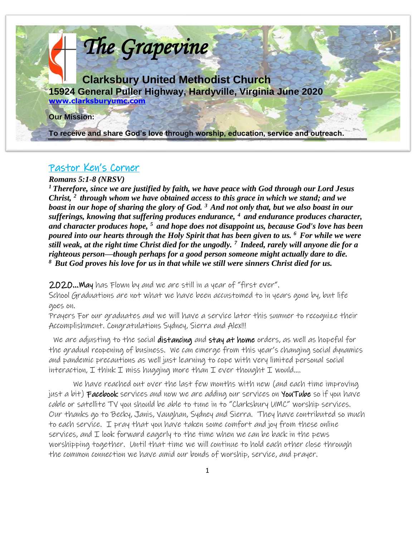

#### Pastor Ken's Corner

*Romans 5:1-8 (NRSV)* 

*<sup>1</sup>Therefore, since we are justified by faith, we have peace with God through our Lord Jesus Christ, <sup>2</sup>through whom we have obtained access to this grace in which we stand; and we boast in our hope of sharing the glory of God. <sup>3</sup>And not only that, but we also boast in our sufferings, knowing that suffering produces endurance, <sup>4</sup>and endurance produces character, and character produces hope, <sup>5</sup>and hope does not disappoint us, because God's love has been poured into our hearts through the Holy Spirit that has been given to us. <sup>6</sup>For while we were still weak, at the right time Christ died for the ungodly. <sup>7</sup>Indeed, rarely will anyone die for a righteous person—though perhaps for a good person someone might actually dare to die. <sup>8</sup>But God proves his love for us in that while we still were sinners Christ died for us.* 

2020…May has Flown by and we are still in a year of "first ever".

School Graduations are not what we have been accustomed to in years gone by, but life goes on.

Prayers For our graduates and we will have a service later this sumner to recognize their Accomplishment. Congratulations Sydney, Sierra and Alex!!!

We are adjusting to the social distancing and stay at home orders, as well as hopeful for the gradual reopening of business. We can emerge from this year's changing social dynamics and pandemic precautions as well just learning to cope with very limited personal social interaction,  $I$  think  $I$  miss hugging more than  $I$  ever thought  $I$  would....

We have reached out over the last few months with new (and each time improving just a bit) Facebook services and now we are adding our services on YouTube so if you have cable or satellite TV you should be able to tune in to "Clarksbury UMC" worship services. Our thanks go to Becky, Janis, Vaughan, Sydney and Sierra. They have contributed so much to each service. I pray that you have taken some comfort and joy from these online services, and  $\mathcal I$  look forward eagerly to the time when we can be back in the pews worshipping together. Until that time we will continue to hold each other close through the common connection we have amid our bonds of worship, service, and prayer.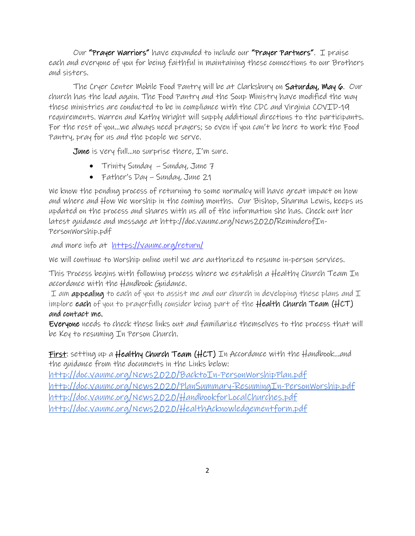Our "Prayer Warriors" have expanded to include our "Prayer Partners". I praise each and everyone of you for being faithful in maintaining these connections to our Brothers and sisters.

The Cryer Center Mobile Food Pantry will be at Clarksbury on Saturday, May 6. Our church has the lead again. The Food Pantry and the Soup Ministry have modified the way these ministries are conducted to be in compliance with the CDC and Virginia COVID-19 requirements. Warren and Kathy Wright will supply additional directions to the participants. For the rest of you…we always need prayers; so even if you can't be here to work the Food Pantry, pray for us and the people we serve.

June is very full…no surprise there, I'm sure.

- Trinity Sunday Sunday, June 7
- Father's Day Sunday, June 21

We know the pending process of returning to some normalcy will have great impact on how and where and How We worship in the coming months. Our Bishop, Sharma Lewis, keeps us updated on the process and shares with us all of the information she has. Check out her latest guidance and message at http://doc.vaumc.org/News2020/ReminderofIn-PersonWorship.pdf

and more info at https://vaumc.org/return/

We will continue to Worship online until we are authorized to resume in-person services.

This Process begins with following process where we establish a Healthy Church Team In accordance with the Handbook Guidance.

I am appealing to each of you to assist me and our church in developing these plans and  $I$ implore each of you to prayerfully consider being part of the Health Church Team (HCT) and contact me.

Everyone needs to check these links out and familiarize themselves to the process that will be Key to resuming In Person Church.

First: setting up a Healthy Church Team (HCT) In Accordance with the Handbook...and the guidance from the documents in the Links below:

<http://doc.vaumc.org/News2020/BacktoIn-PersonWorshipPlan.pdf> <http://doc.vaumc.org/News2020/PlanSummary-ResumingIn-PersonWorship.pdf> <http://doc.vaumc.org/News2020/HandbookforLocalChurches.pdf> <http://doc.vaumc.org/News2020/HealthAcknowledgementform.pdf>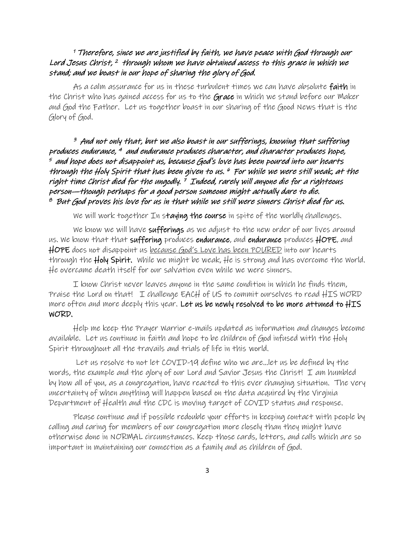#### <sup>1</sup>Therefore, since we are justified by faith, we have peace with God through our Lord Jesus Christ, <sup>2</sup> through whom we have obtained access to this grace in which we stand; and we boast in our hope of sharing the glory of God.

As a calm assurance for us in these turbulent times we can have absolute **faith** in the Christ who has gained access for us to the Grace in which we stand before our Maker and God the Father. Let us together boast in our sharing of the Good News that is the Glory of God.

<sup>3</sup> And not only that, but we also boast in our sufferings, knowing that suffering produces endurance, <sup>4</sup> and endurance produces character, and character produces hope,  $^\epsilon$  and hope does not disappoint us, because God's love has been poured into our hearts through the Holy Spirit that has been given to us. 6 For while we were still weak, at the right time Christ died for the ungodly. <sup>7</sup> Indeed, rarely will anyone die for a righteous person—though perhaps for a good person someone might actually dare to die.  $^{\emph{8}}$  But God proves his love for us in that while we still were sinners Christ died for us.

We will work together In staying the course in spite of the worldly challenges.

We know we will have sufferings as we adjust to the new order of our lives around us. We know that that suffering produces endurance, and endurance produces HOPE, and HOPE does not disappoint us <u>because God's Love has been POURED</u> into our hearts through the  $H$ oly Spirit. While we might be weak,  $He$  is strong and has overcome the World. He overcame death itself for our salvation even while we were sinners.

I know Christ never leaves anyone in the same condition in which he finds them, Praise the Lord on that! I challenge EACH of US to commit ourselves to read HIS WORD more often and more deeply this year. L**et us be newly resolved to be more attuned to HIS** WORD.

Help me keep the Prayer Warrior e-mails updated as information and changes become available. Let us continue in faith and hope to be children of God infused with the Holy Spirit throughout all the travails and trials of life in this world.

 Let us resolve to not let COVID-19 define who we are…let us be defined by the words, the example and the glory of our Lord and Savior Jesus the Christ! I am humbled by how all of you, as a congregation, have reacted to this ever changing situation. The very uncertainty of when anything will happen based on the data acquired by the Virginia Department of Health and the CDC is moving target of COVID status and response.

Please continue and if possible redouble your efforts in keeping contact with people by calling and caring for members of our congregation more closely than they might have otherwise done in NORMAL circumstances. Keep those cards, letters, and calls which are so important in maintaining our connection as a family and as children of God.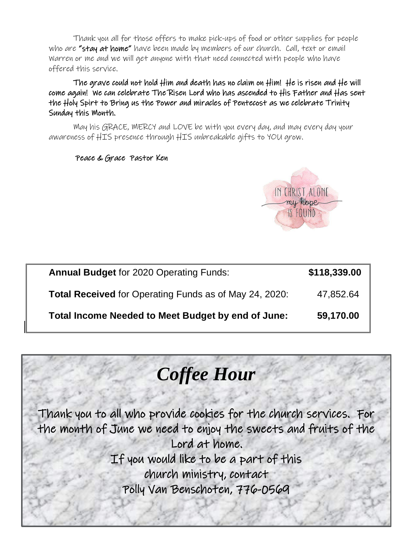Thank you all for those offers to make pick-ups of food or other supplies for people who are "stay at home" have been made by members of our church. Call, text or email Warren or me and we will get anyone with that need connected with people who have offered this service.

The grave could not hold Him and death has no claim on Him! He is risen and He will come again! We can celebrate The Risen Lord who has ascended to His Father and Has sent the Holy Spirt to Bring us the Power and miracles of Pentecost as we celebrate Trinity Sunday this Month.

May his GRACE, MERCY and LOVE be with you every day, and may every day your awareness of HIS presence through HIS unbreakable gifts to YOU grow.

#### Peace & Grace Pastor Ken



| <b>Annual Budget for 2020 Operating Funds:</b>                | \$118,339.00 |
|---------------------------------------------------------------|--------------|
| <b>Total Received</b> for Operating Funds as of May 24, 2020: | 47,852.64    |
| Total Income Needed to Meet Budget by end of June:            | 59,170.00    |

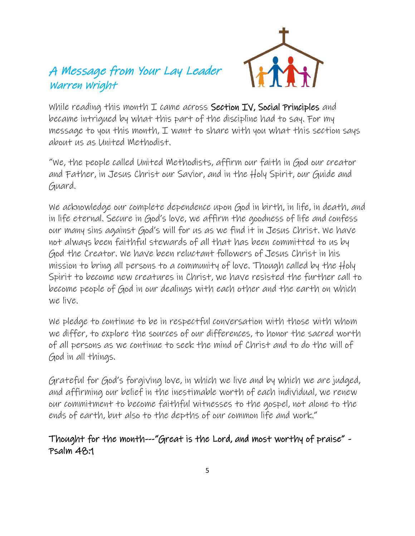# A Message from Your Lay Leader Warren Wright



While reading this month  $I$  came across Section IV, Social Principles and became intrigued by what this part of the discipline had to say. For my message to you this month,  $I$  want to share with you what this section says about us as United Methodist.

"We, the people called United Methodists, affirm our faith in God our creator and Father, in Jesus Christ our Savior, and in the Holy Spirit, our Guide and Guard.

We acknowledge our complete dependence upon God in birth, in life, in death, and in life eternal. Secure in God's love, we affirm the goodness of life and confess our many sins against God's will for us as we find it in Jesus Christ. We have not always been faithful stewards of all that has been committed to us by God the Creator. We have been reluctant followers of Jesus Christ in his mission to bring all persons to a community of love. Though called by the Holy Spirit to become new creatures in Christ, we have resisted the further call to become people of God in our dealings with each other and the earth on which we live.

We pledge to continue to be in respectful conversation with those with whom we differ, to explore the sources of our differences, to honor the sacred worth of all persons as we continue to seek the mind of Christ and to do the will of God in all things.

Grateful for God's forgiving love, in which we live and by which we are judged, and affirming our belief in the inestimable worth of each individual, we renew our commitment to become faithful witnesses to the gospel, not alone to the ends of earth, but also to the depths of our common life and work."

### Thought for the month---"Great is the Lord, and most worthy of praise" - Psalm 48:1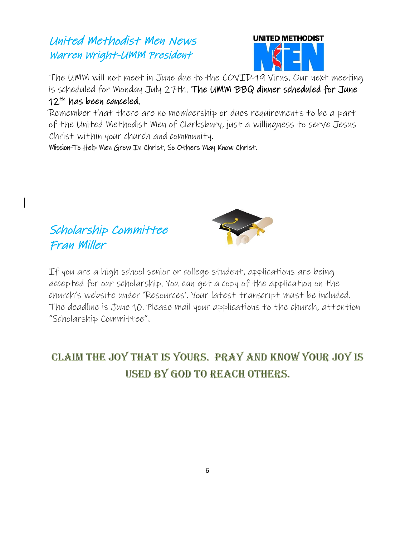# United Methodist Men News Warren Wright-UMM President



The UMM will not meet in June due to the COVID-19 Virus. Our next meeting is scheduled for Monday July 27th. The UMM BBQ dinner scheduled for June 12<sup>th</sup> has been canceled.

Remember that there are no membership or dues requirements to be a part of the United Methodist Men of Clarksbury, just a willingness to serve Jesus Christ within your church and community.

Mission-To Help Men Grow In Christ, So Others May Know Christ.





If you are a high school senior or college [student, applic](https://creativecommons.org/licenses/by-nc-sa/3.0/)ations are being accepted for our scholarship. You can get a copy of the application on the church's website under 'Resources'. Your latest transcript must be included. The deadline is June 10. Please mail your applications to the church, attention "Scholarship Committee".

# CLAIM THE JOY THAT IS YOURS. PRAY AND KNOW YOUR JOY IS **USED BY GOD TO REACH OTHERS.**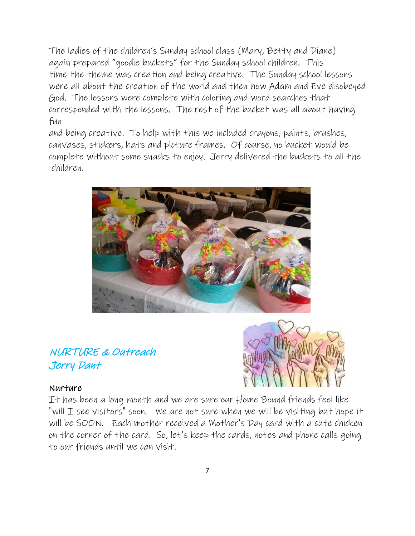The ladies of the children's Sunday school class (Mary, Betty and Diane) again prepared "goodie buckets" for the Sunday school children. This time the theme was creation and being creative. The Sunday school lessons were all about the creation of the world and then how Adam and Eve disobeyed God. The lessons were complete with coloring and word searches that corresponded with the lessons. The rest of the bucket was all about having fun

and being creative. To help with this we included crayons, paints, brushes, canvases, stickers, hats and picture frames. Of course, no bucket would be complete without some snacks to enjoy. Jerry delivered the buckets to all the children.



# NURTURE & Outreach Jerry Dant

#### Nurture

It has been a long month and we are sure our Home Bound friends feel like "will I see visitors" soon. We are not sure when we will be visiting but hope it will be SOON. Each mother received a Mother's Day card with a cute chicken on the corner of the card. So, let's keep the cards, notes and phone calls going to our friends until we can visit.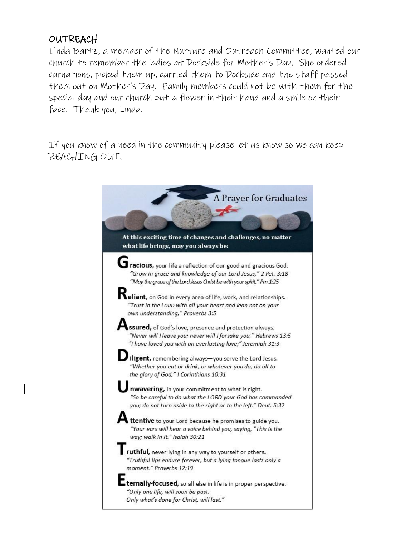# OUTREACH

Linda Bartz, a member of the Nurture and Outreach Committee, wanted our church to remember the ladies at Dockside for Mother's Day. She ordered carnations, picked them up, carried them to Dockside and the staff passed them out on Mother's Day. Family members could not be with them for the special day and our church put a flower in their hand and a smile on their face. Thank you, Linda.

If you know of a need in the community please let us know so we can keep REACHING OUT.

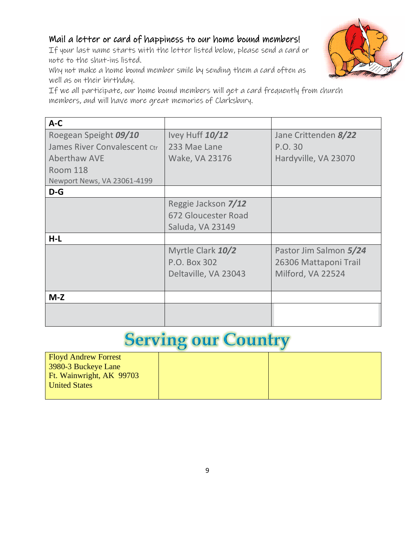#### Mail a letter or card of happiness to our home bound members!

If your last name starts with the letter listed below, please send a card or note to the shut-ins listed.

Why not make a home bound member smile by sending them a card often as well as on their birthday.



| $A-C$                        |                      |                        |
|------------------------------|----------------------|------------------------|
| Roegean Speight 09/10        | Ivey Huff 10/12      | Jane Crittenden 8/22   |
| James River Convalescent Ctr | 233 Mae Lane         | P.O. 30                |
| <b>Aberthaw AVE</b>          | Wake, VA 23176       | Hardyville, VA 23070   |
| <b>Room 118</b>              |                      |                        |
| Newport News, VA 23061-4199  |                      |                        |
| $D-G$                        |                      |                        |
|                              | Reggie Jackson 7/12  |                        |
|                              | 672 Gloucester Road  |                        |
|                              | Saluda, VA 23149     |                        |
| $H-L$                        |                      |                        |
|                              | Myrtle Clark 10/2    | Pastor Jim Salmon 5/24 |
|                              | P.O. Box 302         | 26306 Mattaponi Trail  |
|                              | Deltaville, VA 23043 | Milford, VA 22524      |
|                              |                      |                        |
| $M-Z$                        |                      |                        |
|                              |                      |                        |
|                              |                      |                        |

# **Serving our Country**

| <b>Floyd Andrew Forrest</b> |  |
|-----------------------------|--|
| 3980-3 Buckeye Lane         |  |
| Ft. Wainwright, AK 99703    |  |
| <b>United States</b>        |  |
|                             |  |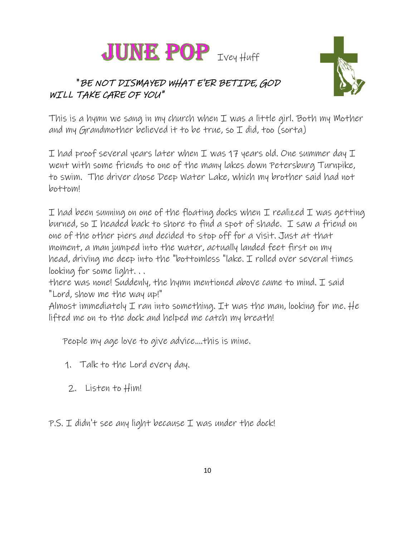

# "BE NOT DISMAYED WHAT E'ER BETIDE, GOD WILL TAKE CARE OF YOU"



This is a hymn we sang in my church when I was a little girl. Both my Mother and my Grandmother believed it to be true, so  $I$  did, too (sorta)

I had proof several years later when I was 17 years old. One summer day  $I$ went with some friends to one of the many lakes down Petersburg Turnpike, to swim. The driver chose Deep Water Lake, which my brother said had not bottom!

I had been sunning on one of the floating docks when I realized I was getting burned, so I headed back to shore to find a spot of shade. I saw a friend on one of the other piers and decided to stop off for a visit. Just at that moment, a man jumped into the water, actually landed feet first on my head, driving me deep into the "bottomless "lake. I rolled over several times looking for some light. . .

there was none! Suddenly, the hymn mentioned above came to mind. I said "Lord, show me the way up!"

Almost immediately I ran into something. It was the man, looking for me. He lifted me on to the dock and helped me catch my breath!

People my age love to give advice....this is mine.

- 1. Talk to the Lord every day.
- 2. Listen to Him!

 $P.S. I didn't see any light because I was under the dock!$